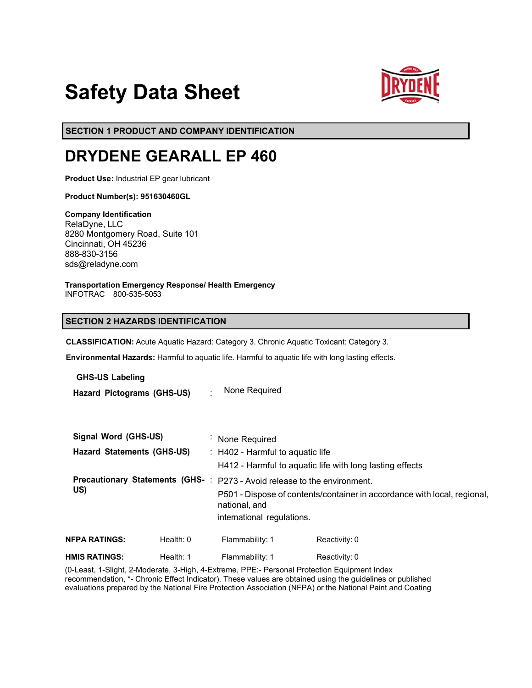# **Safety Data Sheet**



**SECTION 1 PRODUCT AND COMPANY IDENTIFICATION**

# **DRYDENE GEARALL EP 460**

**Product Use:** Industrial EP gear lubricant

**Product Number(s): 951630460GL** 

**Company Identification** RelaDyne, LLC 8280 Montgomery Road, Suite 101 Cincinnati, OH 45236 888-830-3156 sds@reladyne.com

**Transportation Emergency Response/ Health Emergency**

INFOTRAC 800-535-5053

# **SECTION 2 HAZARDS IDENTIFICATION**

**CLASSIFICATION:** Acute Aquatic Hazard: Category 3. Chronic Aquatic Toxicant: Category 3.

**Environmental Hazards:** Harmful to aquatic life. Harmful to aquatic life with long lasting effects.

**GHS-US Labeling**

**Hazard Pictograms (GHS-US)** : None Required

| Signal Word (GHS-US)                   |             | None Required<br>$\blacksquare$                                                           |               |  |
|----------------------------------------|-------------|-------------------------------------------------------------------------------------------|---------------|--|
| <b>Hazard Statements (GHS-US)</b>      |             | $\therefore$ H402 - Harmful to aquatic life                                               |               |  |
|                                        |             | H412 - Harmful to aquatic life with long lasting effects                                  |               |  |
| <b>Precautionary Statements (GHS-:</b> |             | P273 - Avoid release to the environment.                                                  |               |  |
| US)                                    |             | P501 - Dispose of contents/container in accordance with local, regional,<br>national, and |               |  |
|                                        |             | international regulations.                                                                |               |  |
| NFPA RATINGS:                          | Health: $0$ | Flammability: 1                                                                           | Reactivity: 0 |  |
| HMIS RATINGS:                          | Health: 1   | Flammability: 1                                                                           | Reactivity: 0 |  |

(0-Least, 1-Slight, 2-Moderate, 3-High, 4-Extreme, PPE:- Personal Protection Equipment Index recommendation, \*- Chronic Effect Indicator). These values are obtained using the guidelines or published evaluations prepared by the National Fire Protection Association (NFPA) or the National Paint and Coating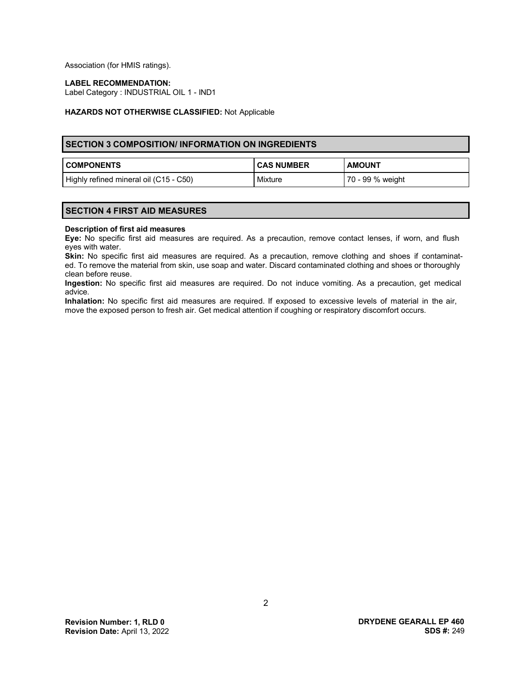Association (for HMIS ratings).

#### **LABEL RECOMMENDATION:**

Label Category : INDUSTRIAL OIL 1 - IND1

#### **HAZARDS NOT OTHERWISE CLASSIFIED:** Not Applicable

# **SECTION 3 COMPOSITION/ INFORMATION ON INGREDIENTS**

| <b>COMPONENTS</b>                      | <b>CAS NUMBER</b> | <b>AMOUNT</b>    |
|----------------------------------------|-------------------|------------------|
| Highly refined mineral oil (C15 - C50) | Mixture           | 70 - 99 % weight |

# **SECTION 4 FIRST AID MEASURES**

#### **Description of first aid measures**

**Eye:** No specific first aid measures are required. As a precaution, remove contact lenses, if worn, and flush eyes with water.

Skin: No specific first aid measures are required. As a precaution, remove clothing and shoes if contaminated. To remove the material from skin, use soap and water. Discard contaminated clothing and shoes or thoroughly clean before reuse.

**Ingestion:** No specific first aid measures are required. Do not induce vomiting. As a precaution, get medical advice.

**Inhalation:** No specific first aid measures are required. If exposed to excessive levels of material in the air, move the exposed person to fresh air. Get medical attention if coughing or respiratory discomfort occurs.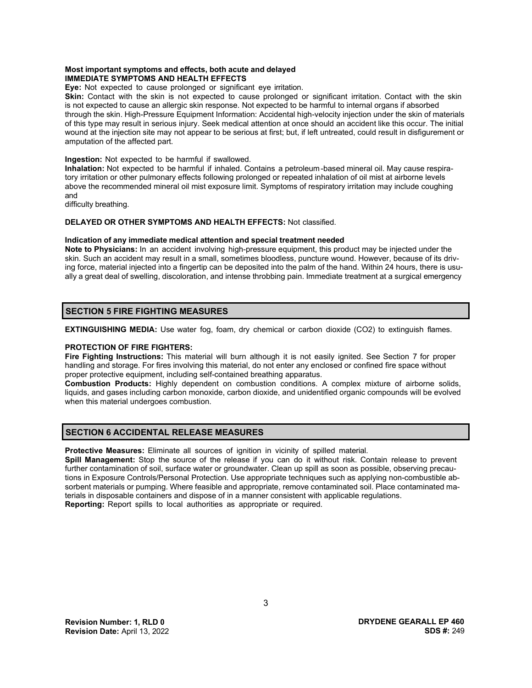#### **Most important symptoms and effects, both acute and delayed IMMEDIATE SYMPTOMS AND HEALTH EFFECTS**

**Eye:** Not expected to cause prolonged or significant eye irritation.

**Skin:** Contact with the skin is not expected to cause prolonged or significant irritation. Contact with the skin is not expected to cause an allergic skin response. Not expected to be harmful to internal organs if absorbed through the skin. High-Pressure Equipment Information: Accidental high-velocity injection under the skin of materials of this type may result in serious injury. Seek medical attention at once should an accident like this occur. The initial wound at the injection site may not appear to be serious at first; but, if left untreated, could result in disfigurement or amputation of the affected part.

**Ingestion:** Not expected to be harmful if swallowed.

**Inhalation:** Not expected to be harmful if inhaled. Contains a petroleum-based mineral oil. May cause respiratory irritation or other pulmonary effects following prolonged or repeated inhalation of oil mist at airborne levels above the recommended mineral oil mist exposure limit. Symptoms of respiratory irritation may include coughing and

difficulty breathing.

# **DELAYED OR OTHER SYMPTOMS AND HEALTH EFFECTS:** Not classified.

#### **Indication of any immediate medical attention and special treatment needed**

**Note to Physicians:** In an accident involving high-pressure equipment, this product may be injected under the skin. Such an accident may result in a small, sometimes bloodless, puncture wound. However, because of its driving force, material injected into a fingertip can be deposited into the palm of the hand. Within 24 hours, there is usually a great deal of swelling, discoloration, and intense throbbing pain. Immediate treatment at a surgical emergency

# **SECTION 5 FIRE FIGHTING MEASURES**

**EXTINGUISHING MEDIA:** Use water fog, foam, dry chemical or carbon dioxide (CO2) to extinguish flames.

# **PROTECTION OF FIRE FIGHTERS:**

**Fire Fighting Instructions:** This material will burn although it is not easily ignited. See Section 7 for proper handling and storage. For fires involving this material, do not enter any enclosed or confined fire space without proper protective equipment, including self-contained breathing apparatus.

**Combustion Products:** Highly dependent on combustion conditions. A complex mixture of airborne solids, liquids, and gases including carbon monoxide, carbon dioxide, and unidentified organic compounds will be evolved when this material undergoes combustion.

# **SECTION 6 ACCIDENTAL RELEASE MEASURES**

**Protective Measures:** Eliminate all sources of ignition in vicinity of spilled material.

**Spill Management:** Stop the source of the release if you can do it without risk. Contain release to prevent further contamination of soil, surface water or groundwater. Clean up spill as soon as possible, observing precautions in Exposure Controls/Personal Protection. Use appropriate techniques such as applying non-combustible absorbent materials or pumping. Where feasible and appropriate, remove contaminated soil. Place contaminated materials in disposable containers and dispose of in a manner consistent with applicable regulations. **Reporting:** Report spills to local authorities as appropriate or required.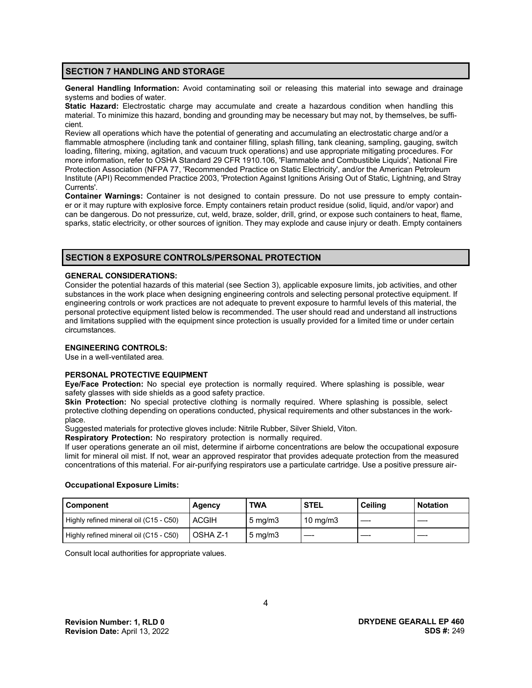# **SECTION 7 HANDLING AND STORAGE**

**General Handling Information:** Avoid contaminating soil or releasing this material into sewage and drainage systems and bodies of water.

**Static Hazard:** Electrostatic charge may accumulate and create a hazardous condition when handling this material. To minimize this hazard, bonding and grounding may be necessary but may not, by themselves, be sufficient.

Review all operations which have the potential of generating and accumulating an electrostatic charge and/or a flammable atmosphere (including tank and container filling, splash filling, tank cleaning, sampling, gauging, switch loading, filtering, mixing, agitation, and vacuum truck operations) and use appropriate mitigating procedures. For more information, refer to OSHA Standard 29 CFR 1910.106, 'Flammable and Combustible Liquids', National Fire Protection Association (NFPA 77, 'Recommended Practice on Static Electricity', and/or the American Petroleum Institute (API) Recommended Practice 2003, 'Protection Against Ignitions Arising Out of Static, Lightning, and Stray Currents'.

**Container Warnings:** Container is not designed to contain pressure. Do not use pressure to empty container or it may rupture with explosive force. Empty containers retain product residue (solid, liquid, and/or vapor) and can be dangerous. Do not pressurize, cut, weld, braze, solder, drill, grind, or expose such containers to heat, flame, sparks, static electricity, or other sources of ignition. They may explode and cause injury or death. Empty containers

# **SECTION 8 EXPOSURE CONTROLS/PERSONAL PROTECTION**

#### **GENERAL CONSIDERATIONS:**

Consider the potential hazards of this material (see Section 3), applicable exposure limits, job activities, and other substances in the work place when designing engineering controls and selecting personal protective equipment. If engineering controls or work practices are not adequate to prevent exposure to harmful levels of this material, the personal protective equipment listed below is recommended. The user should read and understand all instructions and limitations supplied with the equipment since protection is usually provided for a limited time or under certain circumstances.

#### **ENGINEERING CONTROLS:**

Use in a well-ventilated area.

# **PERSONAL PROTECTIVE EQUIPMENT**

**Eye/Face Protection:** No special eye protection is normally required. Where splashing is possible, wear safety glasses with side shields as a good safety practice.

**Skin Protection:** No special protective clothing is normally required. Where splashing is possible, select protective clothing depending on operations conducted, physical requirements and other substances in the workplace.

Suggested materials for protective gloves include: Nitrile Rubber, Silver Shield, Viton.

**Respiratory Protection:** No respiratory protection is normally required.

If user operations generate an oil mist, determine if airborne concentrations are below the occupational exposure limit for mineral oil mist. If not, wear an approved respirator that provides adequate protection from the measured concentrations of this material. For air-purifying respirators use a particulate cartridge. Use a positive pressure air-

#### **Occupational Exposure Limits:**

| Component                              | Agency       | TWA                | <b>STEL</b>       | <b>Ceiling</b> | <b>Notation</b> |
|----------------------------------------|--------------|--------------------|-------------------|----------------|-----------------|
| Highly refined mineral oil (C15 - C50) | <b>ACGIH</b> | $5 \text{ mg/m}$ 3 | $10 \text{ mg/m}$ |                |                 |
| Highly refined mineral oil (C15 - C50) | OSHA Z-1     | $5 \text{ mg/m}$   |                   |                |                 |

Consult local authorities for appropriate values.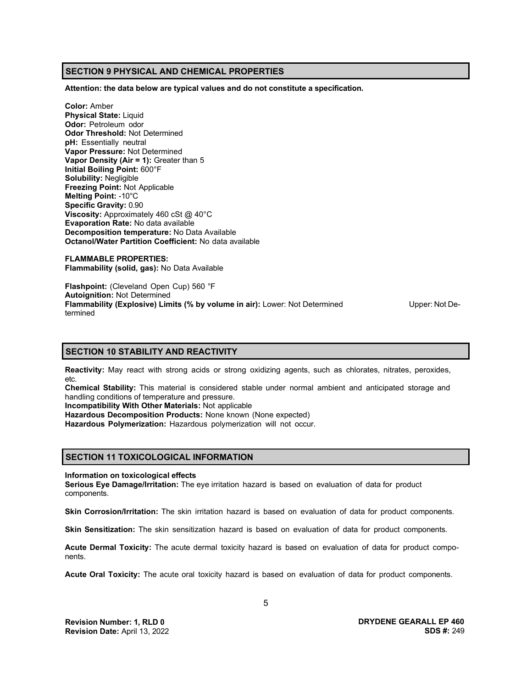# **SECTION 9 PHYSICAL AND CHEMICAL PROPERTIES**

**Attention: the data below are typical values and do not constitute a specification.**

**Color:** Amber **Physical State:** Liquid **Odor:** Petroleum odor **Odor Threshold:** Not Determined **pH:** Essentially neutral **Vapor Pressure:** Not Determined **Vapor Density (Air = 1):** Greater than 5 **Initial Boiling Point:** 600°F **Solubility:** Negligible **Freezing Point:** Not Applicable **Melting Point:** -10°C **Specific Gravity:** 0.90 **Viscosity:** Approximately 460 cSt @ 40°C **Evaporation Rate:** No data available **Decomposition temperature:** No Data Available **Octanol/Water Partition Coefficient:** No data available

**FLAMMABLE PROPERTIES: Flammability (solid, gas):** No Data Available

**Flashpoint:** (Cleveland Open Cup) 560 °F **Autoignition:** Not Determined **Flammability (Explosive) Limits (% by volume in air):** Lower: Not Determined Upper: Not Determined

# **SECTION 10 STABILITY AND REACTIVITY**

**Reactivity:** May react with strong acids or strong oxidizing agents, such as chlorates, nitrates, peroxides, etc.

**Chemical Stability:** This material is considered stable under normal ambient and anticipated storage and handling conditions of temperature and pressure.

**Incompatibility With Other Materials:** Not applicable

**Hazardous Decomposition Products:** None known (None expected)

**Hazardous Polymerization:** Hazardous polymerization will not occur.

# **SECTION 11 TOXICOLOGICAL INFORMATION**

#### **Information on toxicological effects**

**Serious Eye Damage/Irritation:** The eye irritation hazard is based on evaluation of data for product components.

**Skin Corrosion/Irritation:** The skin irritation hazard is based on evaluation of data for product components.

**Skin Sensitization:** The skin sensitization hazard is based on evaluation of data for product components.

**Acute Dermal Toxicity:** The acute dermal toxicity hazard is based on evaluation of data for product components.

**Acute Oral Toxicity:** The acute oral toxicity hazard is based on evaluation of data for product components.

**DRYDENE GEARALL EP 460 SDS #:** 249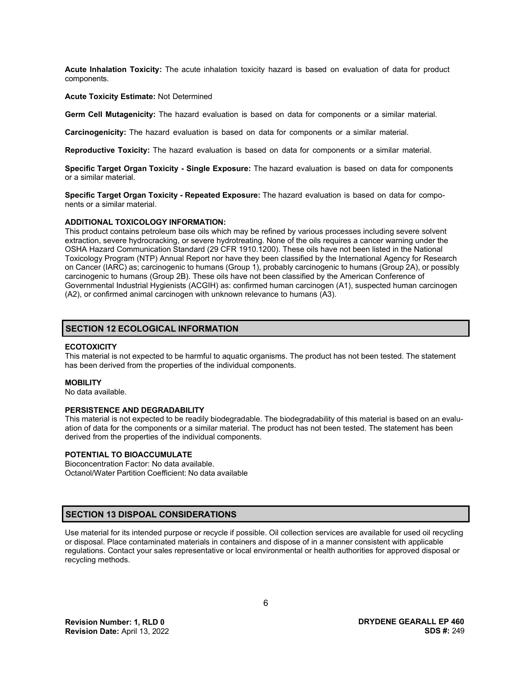**Acute Inhalation Toxicity:** The acute inhalation toxicity hazard is based on evaluation of data for product components.

#### **Acute Toxicity Estimate:** Not Determined

**Germ Cell Mutagenicity:** The hazard evaluation is based on data for components or a similar material.

**Carcinogenicity:** The hazard evaluation is based on data for components or a similar material.

**Reproductive Toxicity:** The hazard evaluation is based on data for components or a similar material.

**Specific Target Organ Toxicity - Single Exposure:** The hazard evaluation is based on data for components or a similar material.

**Specific Target Organ Toxicity - Repeated Exposure:** The hazard evaluation is based on data for components or a similar material.

#### **ADDITIONAL TOXICOLOGY INFORMATION:**

This product contains petroleum base oils which may be refined by various processes including severe solvent extraction, severe hydrocracking, or severe hydrotreating. None of the oils requires a cancer warning under the OSHA Hazard Communication Standard (29 CFR 1910.1200). These oils have not been listed in the National Toxicology Program (NTP) Annual Report nor have they been classified by the International Agency for Research on Cancer (IARC) as; carcinogenic to humans (Group 1), probably carcinogenic to humans (Group 2A), or possibly carcinogenic to humans (Group 2B). These oils have not been classified by the American Conference of Governmental Industrial Hygienists (ACGIH) as: confirmed human carcinogen (A1), suspected human carcinogen (A2), or confirmed animal carcinogen with unknown relevance to humans (A3).

### **SECTION 12 ECOLOGICAL INFORMATION**

#### **ECOTOXICITY**

This material is not expected to be harmful to aquatic organisms. The product has not been tested. The statement has been derived from the properties of the individual components.

#### **MOBILITY**

No data available.

#### **PERSISTENCE AND DEGRADABILITY**

This material is not expected to be readily biodegradable. The biodegradability of this material is based on an evaluation of data for the components or a similar material. The product has not been tested. The statement has been derived from the properties of the individual components.

# **POTENTIAL TO BIOACCUMULATE**

Bioconcentration Factor: No data available. Octanol/Water Partition Coefficient: No data available

# **SECTION 13 DISPOAL CONSIDERATIONS**

Use material for its intended purpose or recycle if possible. Oil collection services are available for used oil recycling or disposal. Place contaminated materials in containers and dispose of in a manner consistent with applicable regulations. Contact your sales representative or local environmental or health authorities for approved disposal or recycling methods.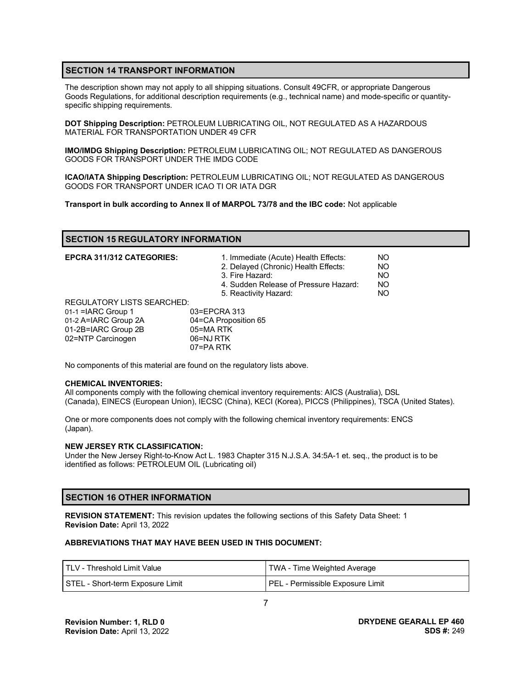# **SECTION 14 TRANSPORT INFORMATION**

The description shown may not apply to all shipping situations. Consult 49CFR, or appropriate Dangerous Goods Regulations, for additional description requirements (e.g., technical name) and mode-specific or quantityspecific shipping requirements.

**DOT Shipping Description:** PETROLEUM LUBRICATING OIL, NOT REGULATED AS A HAZARDOUS MATERIAL FOR TRANSPORTATION UNDER 49 CFR

**IMO/IMDG Shipping Description:** PETROLEUM LUBRICATING OIL; NOT REGULATED AS DANGEROUS GOODS FOR TRANSPORT UNDER THE IMDG CODE

**ICAO/IATA Shipping Description:** PETROLEUM LUBRICATING OIL; NOT REGULATED AS DANGEROUS GOODS FOR TRANSPORT UNDER ICAO TI OR IATA DGR

**Transport in bulk according to Annex II of MARPOL 73/78 and the IBC code:** Not applicable

# **SECTION 15 REGULATORY INFORMATION**

| <b>EPCRA 311/312 CATEGORIES:</b>  | 1. Immediate (Acute) Health Effects:<br>2. Delayed (Chronic) Health Effects:<br>3. Fire Hazard:<br>4. Sudden Release of Pressure Hazard:<br>5. Reactivity Hazard: | NO.<br>NO.<br>NO.<br>NO.<br>NO. |
|-----------------------------------|-------------------------------------------------------------------------------------------------------------------------------------------------------------------|---------------------------------|
| <b>REGULATORY LISTS SEARCHED:</b> |                                                                                                                                                                   |                                 |
| 01-1 = IARC Group 1               | 03=EPCRA 313                                                                                                                                                      |                                 |
| 01-2 A=IARC Group 2A              | 04=CA Proposition 65                                                                                                                                              |                                 |
| 01-2B=IARC Group 2B               | 05=MARTK                                                                                                                                                          |                                 |
| 02=NTP Carcinogen                 | 06=NJ RTK                                                                                                                                                         |                                 |
|                                   | 07=PA RTK                                                                                                                                                         |                                 |

No components of this material are found on the regulatory lists above.

#### **CHEMICAL INVENTORIES:**

All components comply with the following chemical inventory requirements: AICS (Australia), DSL (Canada), EINECS (European Union), IECSC (China), KECI (Korea), PICCS (Philippines), TSCA (United States).

One or more components does not comply with the following chemical inventory requirements: ENCS (Japan).

#### **NEW JERSEY RTK CLASSIFICATION:**

Under the New Jersey Right-to-Know Act L. 1983 Chapter 315 N.J.S.A. 34:5A-1 et. seq., the product is to be identified as follows: PETROLEUM OIL (Lubricating oil)

# **SECTION 16 OTHER INFORMATION**

**REVISION STATEMENT:** This revision updates the following sections of this Safety Data Sheet: 1 **Revision Date:** April 13, 2022

#### **ABBREVIATIONS THAT MAY HAVE BEEN USED IN THIS DOCUMENT:**

| l TLV - Threshold Limit Value    | TWA - Time Weighted Average      |
|----------------------------------|----------------------------------|
| STEL - Short-term Exposure Limit | PEL - Permissible Exposure Limit |